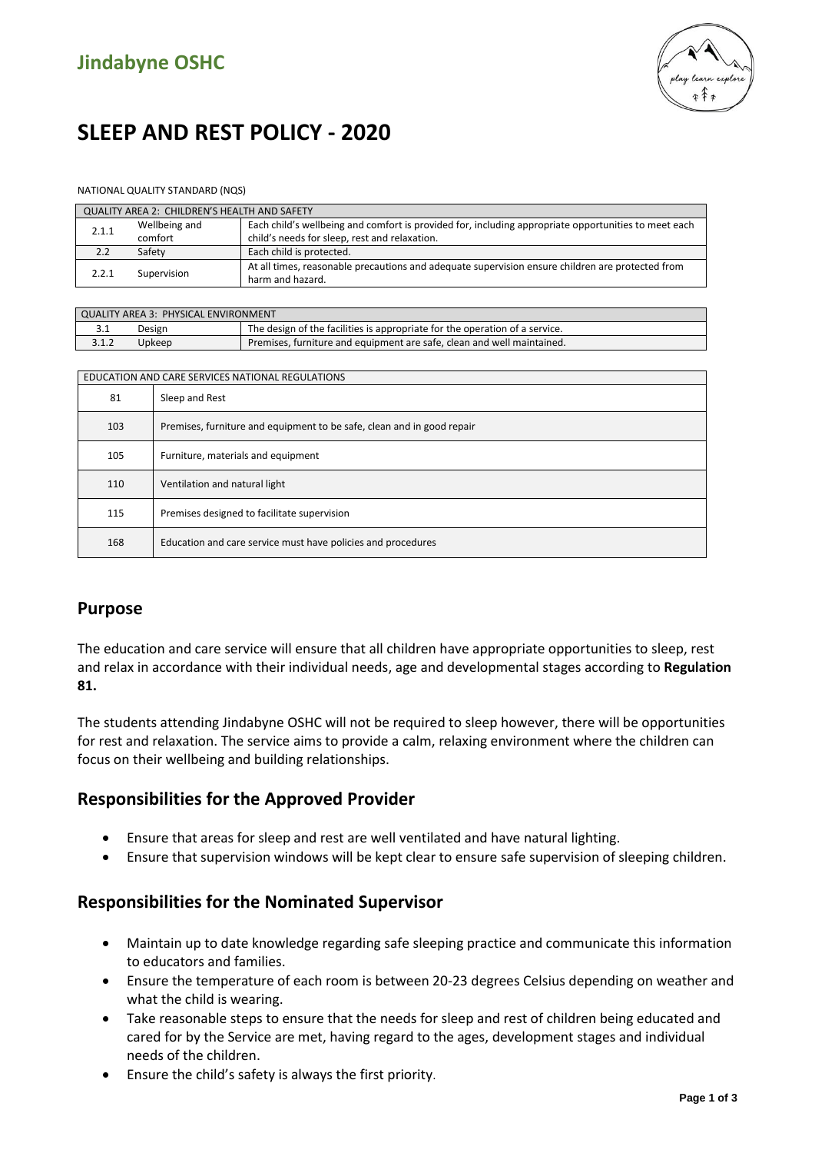

# **SLEEP AND REST POLICY - 2020**

#### NATIONAL QUALITY STANDARD (NQS)

| <b>QUALITY AREA 2: CHILDREN'S HEALTH AND SAFETY</b> |               |                                                                                                      |  |
|-----------------------------------------------------|---------------|------------------------------------------------------------------------------------------------------|--|
| 2.1.1                                               | Wellbeing and | Each child's wellbeing and comfort is provided for, including appropriate opportunities to meet each |  |
|                                                     | comfort       | child's needs for sleep, rest and relaxation.                                                        |  |
| 2.2                                                 | Safety        | Each child is protected.                                                                             |  |
| 2.2.1                                               | Supervision   | At all times, reasonable precautions and adequate supervision ensure children are protected from     |  |
|                                                     |               | harm and hazard.                                                                                     |  |

| QUALITY AREA 3: PHYSICAL ENVIRONMENT |        |                                                                             |  |
|--------------------------------------|--------|-----------------------------------------------------------------------------|--|
| 5.1                                  | Design | The design of the facilities is appropriate for the operation of a service. |  |
| 3.1.2                                | Upkeep | Premises, furniture and equipment are safe, clean and well maintained.      |  |

| EDUCATION AND CARE SERVICES NATIONAL REGULATIONS |                                                                        |  |
|--------------------------------------------------|------------------------------------------------------------------------|--|
| 81                                               | Sleep and Rest                                                         |  |
| 103                                              | Premises, furniture and equipment to be safe, clean and in good repair |  |
| 105                                              | Furniture, materials and equipment                                     |  |
| 110                                              | Ventilation and natural light                                          |  |
| 115                                              | Premises designed to facilitate supervision                            |  |
| 168                                              | Education and care service must have policies and procedures           |  |

#### **Purpose**

The education and care service will ensure that all children have appropriate opportunities to sleep, rest and relax in accordance with their individual needs, age and developmental stages according to **Regulation 81.** 

The students attending Jindabyne OSHC will not be required to sleep however, there will be opportunities for rest and relaxation. The service aims to provide a calm, relaxing environment where the children can focus on their wellbeing and building relationships.

# **Responsibilities for the Approved Provider**

- Ensure that areas for sleep and rest are well ventilated and have natural lighting.
- Ensure that supervision windows will be kept clear to ensure safe supervision of sleeping children.

# **Responsibilities for the Nominated Supervisor**

- Maintain up to date knowledge regarding safe sleeping practice and communicate this information to educators and families.
- Ensure the temperature of each room is between 20-23 degrees Celsius depending on weather and what the child is wearing.
- Take reasonable steps to ensure that the needs for sleep and rest of children being educated and cared for by the Service are met, having regard to the ages, development stages and individual needs of the children.
- Ensure the child's safety is always the first priority.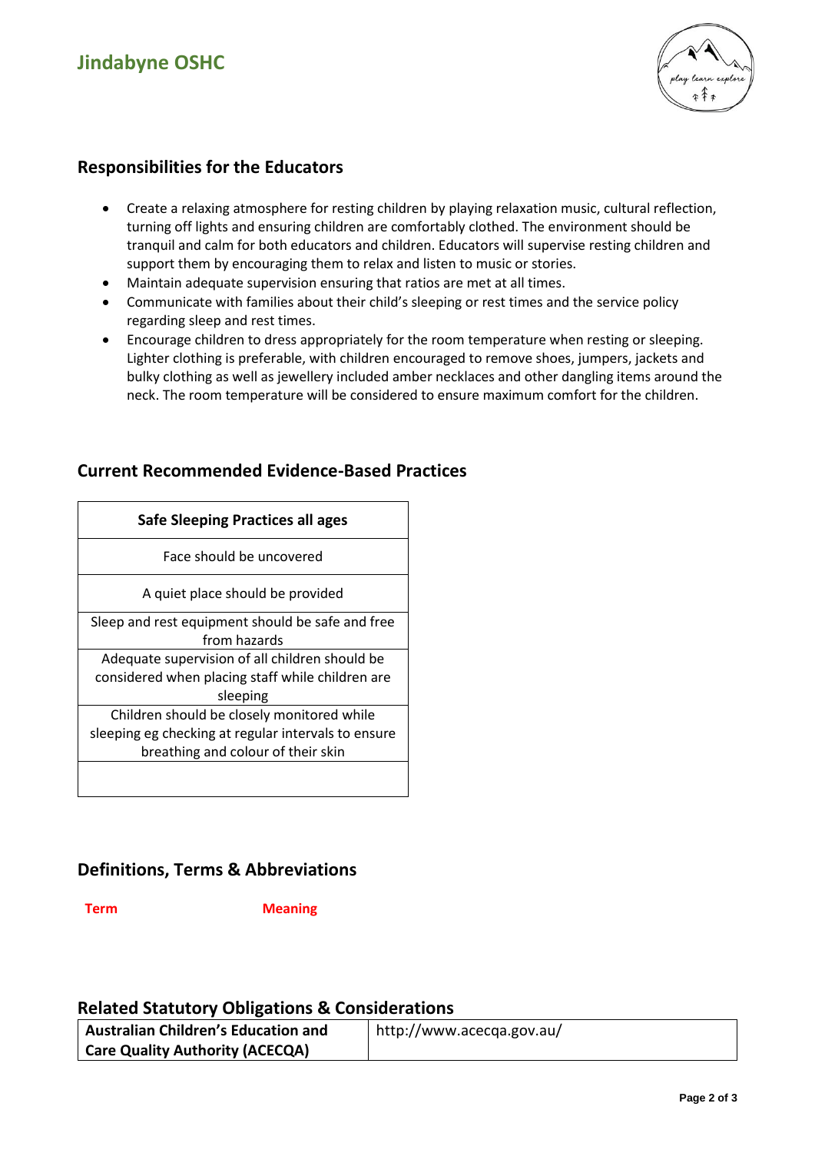

# **Responsibilities for the Educators**

- Create a relaxing atmosphere for resting children by playing relaxation music, cultural reflection, turning off lights and ensuring children are comfortably clothed. The environment should be tranquil and calm for both educators and children. Educators will supervise resting children and support them by encouraging them to relax and listen to music or stories.
- Maintain adequate supervision ensuring that ratios are met at all times.
- Communicate with families about their child's sleeping or rest times and the service policy regarding sleep and rest times.
- Encourage children to dress appropriately for the room temperature when resting or sleeping. Lighter clothing is preferable, with children encouraged to remove shoes, jumpers, jackets and bulky clothing as well as jewellery included amber necklaces and other dangling items around the neck. The room temperature will be considered to ensure maximum comfort for the children.

# **Current Recommended Evidence-Based Practices**

| Safe Sleeping Practices all ages                                 |
|------------------------------------------------------------------|
| Face should be uncovered                                         |
| A quiet place should be provided                                 |
| Sleep and rest equipment should be safe and free<br>from hazards |
| Adequate supervision of all children should be                   |
| considered when placing staff while children are                 |
| sleeping                                                         |
| Children should be closely monitored while                       |
| sleeping eg checking at regular intervals to ensure              |
| breathing and colour of their skin                               |
|                                                                  |

# **Definitions, Terms & Abbreviations**

**Term Meaning**

#### **Related Statutory Obligations & Considerations**

| <b>Australian Children's Education and</b> | http://www.acecqa.gov.au/ |
|--------------------------------------------|---------------------------|
| <b>Care Quality Authority (ACECQA)</b>     |                           |